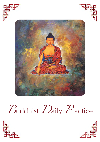





# *B*uddhist *D*aily *P*ractice



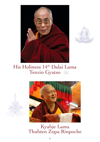



## His Holiness 14th Dalai Lama Tenzin Gyatso





Kyabje Lama<br>Thubten Zopa Rinpoche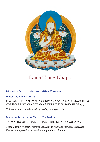

# Lama Tsong Khapa

## **Morning Multiplying Activities Mantras**

#### **Increasing Effect Mantra**

## **OM SAMBHARA SAMBHARA BIMANA SARA MAHA JAVA HUM OM SMARA SMARA BIMANA SKARA MAHA JAVA HUM** *(7x)*

*This mantra increase the merit of the day by 100,000 times*

#### **Mantra to Increase the Merit of Recitation**

#### **TADYATHA OM DHARE DHARE BEN DHARE SVAHA** *(7x)*

*This mantra increase the merit of the Dharma texts and sadhanas you recite. It is like having recited the mantra many millions of times.*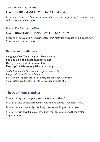#### **The Mala Blessing Mantra**

#### **OM RUCHIRA MANI PRAVARTAYA HUM** *(7X)*

*Recite seven times then blow on the mala. This increases the power of the mantras you recite, over one million times.*

#### **Mantra For Blessing the Feet**

#### **OM KHRECHARA GHANA HUM HRI SVAHA** *(7X)*

*Recite seven times, then blow on the sole of each foot/shoe or whatever will directly be touching insects as you walk.*

## **Refuge and Bodhicitta**

**Sang-gyä ch'o-d'ang ts'og-kyi ch'og-nam-la J'ang-ch'ub b'ar-d'u dag-ni kyab-su-ch'i Dag-g'i jin-sog gyi-päi so-nam-kyi Dro-la p'än-ch'ir sang-gyä drub-par shog**

*To the Buddha, the Dharma and Supreme Assembly I go for refuge until I am enlightened. Due to my merit from practising giving and the other perfections, May I attain buddhahood in order to benefit all beings. (3x).*

## **The Four Immeasurables**

May all beings have happiness and its causes  $\sim$  (Love);

May all beings be freed from suffering and its causes ~ (Compassion);

May all beings constantly dwell in joy transcending sorrow  $\sim$  (Joy);

May all beings dwell in equal love both for those close and those distant  $\sim$ (Equanimity).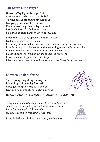## **The Seven Limb Prayer**

**Go-sum g'ü-päi go-nä chag-ts'äl-lo Ngö-sham yi-trul ch'ö-trin ma-lu bul Tog-me nä-sag dig-tung t'am-chä shag Kye-p'ag ge-wa-nam-la je-yi-rang K'or-wa ma-dong b'ar-d'u leg-zhug-nä Dro-la ch'ö-kyi k'or-lo kor-wa-d'ang Dag-zhän ge-nam j'ang-ch'ub ch'en-por ngo**

I prostrate with body, speech and mind in faith. Each and every offering I make, Including those actually performed and those mentally transformed. I confess every sin collected from the beginninglessness of samsaric life. I rejoice in the actions of all ordinary and noble beings. Please Buddha, by living as our guide until samsara ends, Reveal the teachings to sentient beings. I dedicate the virtues of myself and others to the Great Enlightenment.

## **Short Mandala Offering**

**Sa-zhi pö-kyi j'ug-shing me-tog tram Ri-rab ling-zhi nyi-dä gyän-pa di Sang-gyä zhing-d'u mig-te ül-war gyi Dro-kün nam-d'ag zhing-la chö-par-shog**

#### **IDAM GURU RATNA MANDALAKAM NIRYATAYAMI**

*This ground, anointed with perfume, strewn with flowers, adorned by Mt. Meru, the four continents, sun and moon, I visualise as a buddha field and offer; May all sentient beings enjoy this pure land.*

*I send forth this jewelled mandala to you, precious gurus.*

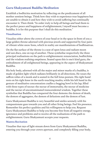## **Guru Shakyamuni Buddha Meditation**

Establish a bodhicitta motivation by reflecting on the predicament of all mother sentient beings. Think how they wish to experience true happiness but are unable to obtain it and how they wish to avoid suffering but continually encounter it. Then think: "In order truly to help all beings and lead them to the perfect peace and happiness of enlightenment, I myself must become a buddha. It is for this purpose that I shall do this meditation."

## **Visualisation**

Visualise either above the crown of your head or in the space in front of you a large golden throne adorned with precious jewels and supported by four pairs of vibrant white snow lions, which in reality are manifestations of bodhisattvas.

On the flat surface of the throne is a seat of open lotus and radiant moon and sun discs, one on top of another. These symbolise respectively the three principal realisations on the path to enlightenment: renunciation, bodhichitta and the wisdom realising emptiness. Seated upon this is one's kind guru, the embodiment of all enlightened beings, appearing in the aspect of Shakyamuni Buddha.

His holy body, adorned with all the major and minor marks of a buddha, is made of golden light which radiates brilliantly in all directions. He wears the saffron robes of a monk and is seated in the full lotus posture. His right hand rests on his right knee in the earth-touching mudra, while his left hand in the gesture of meditative concentration cradles a begging bowl in his lap, filled with three types of nectar: the nectar of immortality, the nectar of medicine and the nectar of uncontaminated transcendental wisdom. Together these symbolise that Buddha has conquered the four demons: the demon of death, the demon of aggregates, the demon of delusions and the demon of lust.

Guru Shakyamuni Buddha is very beautiful and smiles serenely with his compassionate gaze towards you and all other living beings. Feel his presence. Remember his perfect qualities and his willingness to help you. Request Guru Shakyamuni Buddha to help you become free from all negative energy, ignorance and problems and to receive all the realisations of the path to enlightenment. Guru Shakyamuni accepts your requests.

#### **Mantra Recitation**

Visualise that rays of light stream down from Guru Shakyamuni Buddha, entering you through your crown aperture, and completely filling your body,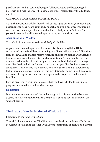purifying you and all sentient beings of all negativities and bestowing all blessings and realisations. While visualising this, recite silently the Buddha's mantra:

## **OM MUNI MUNI MAHA MUNIYE SOHA.**

Guru Shakyamuni Buddha then dissolves into light, entering your crown and descending to your heart. Your body, speech and mind becomes inseparable with the holy body, speech and mind of Guru Shakyamuni Buddha. You yourself become Buddha, seated upon a lotus, moon and sun disc.

## **Accumulation of Wisdom**

## *The principal cause to achieve the truth body of a buddha.*

At your heart, seated upon a white moon disc, is a blue syllable **HUM**, surrounded by the Buddha's mantra. Light radiates brilliantly in all directions from the **HUM** and mantra rosary, reaching all sentient beings and purifying them complete of all negativities and obscurations. All sentient beings are transformed into the blissful, enlightened state of buddhahood. All beings then dissolve into light and absorb into you, and you dissolve into the state of emptiness. While in this state, meditate on how the self and all phenomena lack inherent existence. Remain in this meditation for some time. Then from that state of emptiness you arise once again in the aspect of Shakyamuni Buddha.

Feeling great joy in your heart, rejoice that you have fulfilled the ultimate purpose or yourself and all sentient beings.

## **Dedication**

May any merits accumulated through engaging in this meditation become a cause quickly to attain the ultimate state of a buddha for the benefit of all sentient beings.

## **The Heart of the Perfection of Wisdom Sutra**

I prostrate to the Arya Triple Gem.

Thus did I hear at one time. The Bhagavan was dwelling on Mass of Vultures Mountain in Rajagriha together with a great community of monks and a great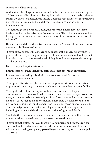community of bodhisattvas.

At that time, the Bhagavan was absorbed in the concentration on the categories of phenomena called "Profound Perception." Also, at that lime, the bodhisattva mahasattva arya Avalokiteshvara looked upon the very practice of the profound perfection of wisdom and beheld those five aggregates also as empty of inherent nature.

Then, through the power of Buddha, the venerable Shariputra said this to the bodhisattva mahasattva arya Avalokiteshvara: "How should any son of the lineage train who wishes to practise the activity of the profound perfection of wisdom?"

He said that, and the bodhisattva mahasattva arya Avalokiteshvara said this to the venerable Sharadvatiputra.

"Shariputra, any son of the lineage or daughter of the lineage who wishes to practise the activity of the profound perfection of wisdom should look upon it like this, correctly and repeatedly beholding those five aggregates also as empty of inherent nature.

Form is empty. Emptiness is form.

Emptiness is not other than form; form is also not other than emptiness.

In the same way, feeling, discrimination, compositional factors, and consciousness are empty.

"Shariputra, likewise, all phenomena are emptiness; without characteristic; unproduced, unceased; stainless, not without stain; not deficient, not fulfilled.

"Shariputra, therefore, in emptiness there is no form, no feeling, no discrimination, no compositional factors, no consciousness; no eye, no ear, no nose, no tongue, no body, no mind; no visual form, no sound, no odor, no taste, no object of touch, and no phenomenon. There is no eye element and so on up to and including no mind element and no mental consciousness element. There is no ignorance, no extinction of ignorance, and so on, up to and including no aging and death and no extinction of aging and death.

Similarly, there is no suffering, originatioin, cessation, and path: there is no exalted wisdom, no attainment, and also no non-attainment.

"Shariputra, therefore, because there is no attainment, bodhisattvas rely on and dwell in the perfection of wisdom, the mind without obscuration and without fear. Having completely passed beyond error, they reach the endpoint of nirvana.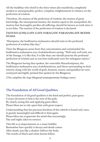All the buddhas who dwell in the three times also manifestly, completely awaken to unsurpassab!e, perfect, complete enlightenment in reliance on the perfection of wisdom.

Therefore, the mantra of the perfection of wisdom, the mantra of great knowledge, the unsurpassed mantra, the mantra equal to the unequalled, the mantra that thoroughly pacifies all suffering, should be known as truth since it is not false. The mantra of the perfection of wisdom is declared:

## **TADYATA [OM] GATE GATE PARAGATE PARASAMGATE BODHI SVAHA**

"Shariputra, the bodhisattva mahasattva should train in the profound perfection of wisdom like that."

Then the Bhagavan arose from that concentration and commended the bodhisattva mahasattva arya Avalokiteshvara saying: "Well said, well said, son of the lineage, it is like that. It is like that; one should practise the profound perfection of wisdom just as you have indicated; even the tathagatas rejoice."

The Bhagavan having thus spoken, the venerable Sharadvatiputra, the bodhisattva mahasattva arya Avalokiteshvara, and those surrounding in their entirety along with the world of gods, humans, asuras, and gandharvas were overjoyed and highly praised that spoken by the Bhagavan.

*(This completes the Arya-bhagavati-prajnaparamita-hridaya-sutra.)*

## **The Foundation of All Good Qualities**

The foundation of all good qualities is the kind and perfect, pure guru; Correct devotion to him is the root of the path. By clearly seeing this and applying great effort, Please bless me to rely upon him with great respect.

Understanding that the precious freedom of this rebirth is found only once, Is greatly meaningful and difficult to find again, Please bless me to generate the mind that unceasingly, Day and night, takes its essence.

This life is as impermanent as a water bubble; Remember how quickly it decays and death comes. After death, just like a shadow follows the body, The results of black and white karma follow.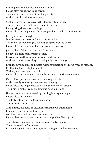Finding firm and definite conviction in this, Please bless me always to be careful To abandon even the slightest of negativities And accomplish all virtuous deeds.

Seeking samsaric pleasures is the door to all suffering; They are uncertain and cannot be relied upon. Recognising these shortcomings, Please bless me to generate the strong wish for the bliss of liberation.

Led by this pure thought, Mindfulness, alertness and great caution arise. The root of the teachings is keeping the pratimoksha vows; Please bless me to accomplish this essential practice.

Just as I have fallen into the sea of samsara, So have all mother migratory beings. Bless me to see this, train in supreme bodhicitta, And bear the responsibility of freeing migratory beings.

Even if I develop only bodhicitta, without practising the three types of morality, I will not achieve enlightenment. With my clear recognition of this, Please bless me to practise the bodhisattva vows with great energy.

Once I have pacified distractions to wrong objects And correctly analysing the meaning of reality, Please bless me to generate quickly within my mind-stream The unified path of calm abiding and special insight.

Having become a pure vessel by training in the general path,

Please bless me to enter

The holy gateway of the fortunate ones:

The supreme vajra vehicle.

At that time, the basis of accomplishing the two attainments Is keeping pure vows and samaya.

As I have become firmly convinced of this,

Please bless me to protect these vows and pledges like my life.

Then, having realised the importance of the two stages,

The essence of the Vajrayana,

By practising with great energy, never giving up the four sessions,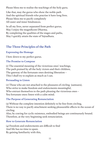Please bless me to realise the teachings of the holy guru.

Like that, may the gurus who show the noble path And the spiritual friends who practise it have long lives. Please bless me to pacify completely All outer and inner hindrances.

In all my lives, never separated from perfect gurus, May I enjoy the magnificent Dharma. By completing the qualities of the stages and paths, May I quickly attain the state of Vajradhara.

## **The Three Principles of the Path**

#### **Expressing the Homage**

I bow down to my perfect gurus.

#### **The Promise to Compose**

(1) The essential meaning of the victorious ones' teachings, The path praised by all the holy victors and their children, The gateway of the fortunate ones desiring liberation – This I shall try to explain as much as I can.

#### **Persuading to Listen**

(2) Those who are not attached to the pleasures of circling (samsara), Who strive to make freedom and endowments meaningful, Who entrust themselves to the path pleasing the victorious ones – You fortunate ones: listen with a calm mind.

## **The Purpose of Generating Renunciation**

(3) Without the complete intention definitely to be free from circling, There is no way to pacify attachment seeking pleasurable effects in the ocean of circling.

Also, by craving for cyclic existence, embodied beings are continuously bound. Therefore, at the very beginning seek renunciation.

#### **How to Generate Renunciation**

(4) Freedom and endowments are difficult to find And life has no time to spare.

By gaining familiarity with this,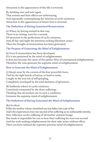Attraction to the appearances of this life is reversed.

By thinking over and over again That actions and their effects are unbetraying, And repeatedly contemplating the miseries of cyclic existence, Attraction to the appearances of future lives is reversed.

## **The Definition of Having Generated Renunciation**

(5) When, by having trained in that way, There is no arising, even for a second, Of attraction to the perfections of cyclic existence, And all day and night the intention seeking liberation arises – Then the thought of renunciation has been generated.

## **The Purpose of Generating the Mind of Enlightenment**

(6) Even if renunciation has been developed, If it is not possessed by the mind of enlightenment It does not become the cause of the perfect bliss of unsurpassed enlightenment. Therefore the wise generate the supreme mind of enlightenment.

## **How to Generate the Mind of Enlightenment**

(7) Swept away by the current of the four powerful rivers, Tied by the tight bonds of karma, so hard to undo, Caught in the iron net of self-grasping, Completely enveloped by the total darkness of ignorance,

(8) Endlessly reborn in cyclic existence, Ceaselessly tormented by the three sufferings – Thinking that all mothers are in such a condition, Generate the supreme mind of enlightenment.

## **The Definition of Having Generated the Mind of Enlightenment**

(8a) In short,

If like the mother whose cherished son has fallen into a pit of fire And who experiences even one second of his suffering as an unbearable eternity, Your reflection on the suffering of all mother sentient beings Has made it impossible for you to bear their suffering for even one second And the wish seeking enlightenment for their sake arises without effort, Then you have realised the supreme precious mind of enlightenment.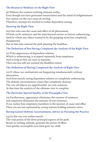## **The Reason to Meditate on the Right View**

(9) Without the wisdom realising ultimate reality,

Even though you have generated renunciation and the mind of enlightenment You cannot cut the root cause of circling.

Therefore, attempt the method to realise dependent arising.

## **Showing the Right View**

(10) One who sees the cause and effect of all phenomena

Of both cyclic existence and the state beyond sorrow as forever unbetraying, And for whom any object trusted in by the grasping mind has completely disappeared,

Has at that time entered the path pleasing the buddhas.

## **The Definition of Not Having Completed the Analysis of the Right View**

(11) If the appearance of dependent relation, Which is unbetraying, is accepted separately from emptiness,

And as long as they are seen as separate,

Then one has still not realised the Buddha's intent.

## **The Definition of Having Completed the Analysis of Right View**

(12) If (these two realisations) are happening simultaneously without alternation,

And from merely seeing dependent relation as completely unbetraying The definite ascertainment comes that completely destroys

The way all objects are apprehended (as truly existent),

At that time the analysis of the ultimate view is complete.

## **The Particular Special Quality of the Prasangika View**

(13) Furthermore, appearance eliminates the extreme of existence and emptiness eliminates the extreme of non-existence. If you realise how emptiness manifests in the manner of cause and effect Then you are not captivated by wrong notions holding extreme views.

## **Having Gained Definite Ascertainment, Advice on Pursuing the Practice**

(14) In this way you realise exactly

The vital points of the three principal aspects of the path.

Resort to seeking solitude, generate the power of effort,

And quickly accomplish your final goal, my child.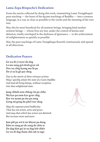## **Lama Zopa Rinpoche's Dedication:**

From the merits collected by doing this work, transmitting Lama Tsongkhapa's pure teaching — the heart of the 84,000 teachings of Buddha — into a western language, in a way as close as possible to the words and the meaning of the root text;

May this be most beneficial for all sentient beings, bringing kind mother sentient beings — whose lives are lost, under the control of karma and delusion, totally enveloped in the darkness of ignorance — to the achievement of enlightenment as quickly as possible.

May the pure teachings of Lama Tsongkhapa flourish continuously and spread in all directions.

## **Dedication Prayers**

**Ge wa di yi nyur du dag La ma sang gyä drub gyur nä Dro wa chig kyang ma lü pa De yi sa la gö par shog**

*Due to the merits of these virtuous actions May I quickly attain the state of a Guru-buddha And lead all living beings, without exception, Into that enlightened state.*

**Jang chhub sem chhog rin po chhe Ma kye pa nam kye gyur chig Kye wa nyam pa me pa yang Gong nä gong du phel war shog**

*May the supreme jewel bodhicitta That has not arisen, arise and grow; And may that which has arisen not diminish But increase more and more.*

**Jam päl pa wö ji tar khyen pa dang Kün tu zang po de yang de zhin te De dag kün gyi je su dag lob chhir Ge wa di dag tham chä rab tu ngo**

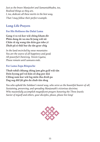*Just as the brave Manjushri and Samantabhadra, too, Realised things as they are, I, too, dedicate all these merits in the best way, That I may follow their perfect example.*

## **Long-Life Prayers**

## **For His Holiness the Dalai Lama**

**Gang ri ra wä kor wäi zhing kham dir Phän dang de wa ma lü jung wäi nä Chän rä zig wang tän dzin gya tsho yi Zhab pä si thäi bar du tän gyur chig**

*In the land encircled by snow mountains You are the source of all happiness and good; All-powerful Chenrezig, Tenzin Gyatso, Please remain until samsara ends.*

## **For Lama Zopa Rinpoche**

**Thub tshül chhang zhing jam gön gyäl wäi tän Dzin kyong pel wä kün zö dog por dzä Chhog sum kur wäi leg mön thu drub pa Dag sog dül jäi gön du zhab tän shog**

*You who uphold the Subduer's moral way, who serve as the bountiful bearer-of-all, Sustaining, preserving, and spreading Manjunath's victorious doctrine; Who masterfully accomplish magnificent prayers honoring the Three Jewels: Savior of myself and others, your disciples, please, please live long!*